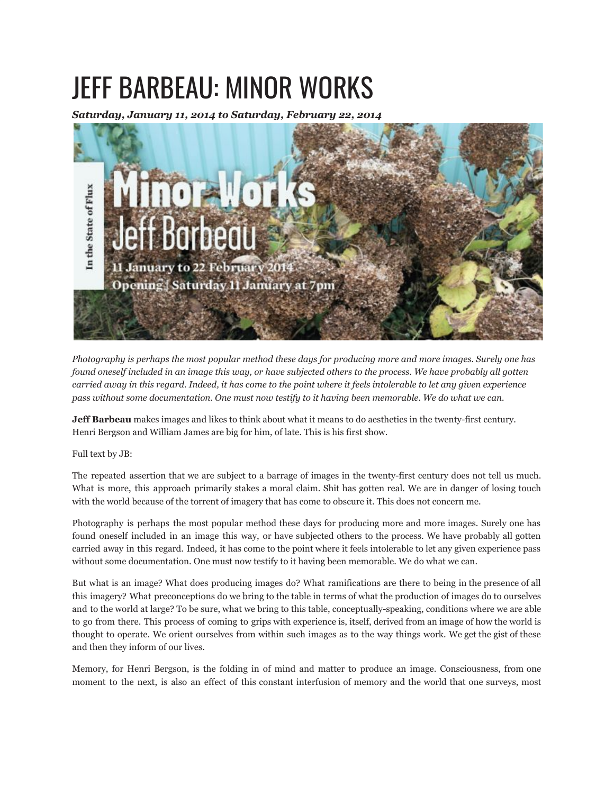## JEFF BARBEAU: MINOR WORKS

*Saturday, January 11, 2014 to Saturday, February 22, 2014*



*Photography is perhaps the most popular method these days for producing more and more images. Surely one has found oneself included in an image this way, or have subjected others to the process. We have probably all gotten carried away in this regard. Indeed, it has come to the point where it feels intolerable to let any given experience pass without some documentation. One must now testify to it having been memorable. We do what we can.*

**Jeff Barbeau** makes images and likes to think about what it means to do aesthetics in the twenty-first century. Henri Bergson and William James are big for him, of late. This is his first show.

Full text by JB:

The repeated assertion that we are subject to a barrage of images in the twenty-first century does not tell us much. What is more, this approach primarily stakes a moral claim. Shit has gotten real. We are in danger of losing touch with the world because of the torrent of imagery that has come to obscure it. This does not concern me.

Photography is perhaps the most popular method these days for producing more and more images. Surely one has found oneself included in an image this way, or have subjected others to the process. We have probably all gotten carried away in this regard. Indeed, it has come to the point where it feels intolerable to let any given experience pass without some documentation. One must now testify to it having been memorable. We do what we can.

But what is an image? What does producing images do? What ramifications are there to being in the presence of all this imagery? What preconceptions do we bring to the table in terms of what the production of images do to ourselves and to the world at large? To be sure, what we bring to this table, conceptually-speaking, conditions where we are able to go from there. This process of coming to grips with experience is, itself, derived from an image of how the world is thought to operate. We orient ourselves from within such images as to the way things work. We get the gist of these and then they inform of our lives.

Memory, for Henri Bergson, is the folding in of mind and matter to produce an image. Consciousness, from one moment to the next, is also an effect of this constant interfusion of memory and the world that one surveys, most